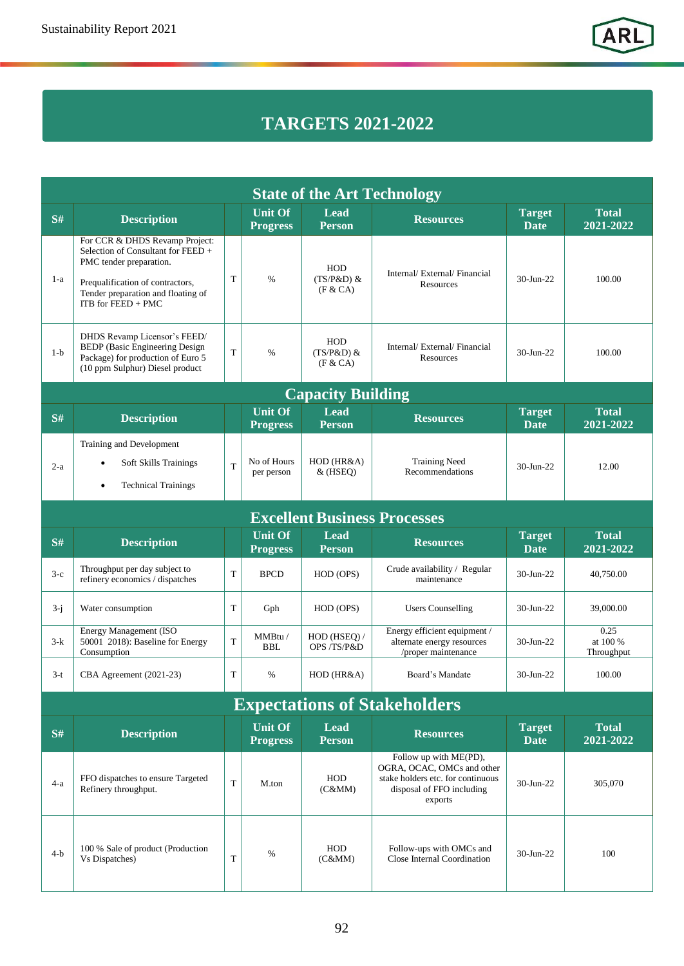## **TARGETS 2021-2022**

| <b>State of the Art Technology</b>  |                                                                                                                                                                                                 |             |                                   |                                         |                                                                                                                                   |                              |                                |  |  |  |  |  |  |
|-------------------------------------|-------------------------------------------------------------------------------------------------------------------------------------------------------------------------------------------------|-------------|-----------------------------------|-----------------------------------------|-----------------------------------------------------------------------------------------------------------------------------------|------------------------------|--------------------------------|--|--|--|--|--|--|
| S#                                  | <b>Description</b>                                                                                                                                                                              |             | <b>Unit Of</b><br><b>Progress</b> | Lead<br><b>Person</b>                   | <b>Resources</b>                                                                                                                  | <b>Target</b><br><b>Date</b> | <b>Total</b><br>2021-2022      |  |  |  |  |  |  |
| $1-a$                               | For CCR & DHDS Revamp Project:<br>Selection of Consultant for FEED +<br>PMC tender preparation.<br>Prequalification of contractors,<br>Tender preparation and floating of<br>ITB for FEED + PMC | T           | $\%$                              | HOD<br>$(TS/P&D)$ &<br>(F & C A)        | Internal/External/Financial<br>Resources                                                                                          | $30$ -Jun-22                 | 100.00                         |  |  |  |  |  |  |
| $1-b$                               | DHDS Revamp Licensor's FEED/<br><b>BEDP</b> (Basic Engineering Design<br>Package) for production of Euro 5<br>(10 ppm Sulphur) Diesel product                                                   | $\mathbf T$ | $\%$                              | <b>HOD</b><br>$(TS/P&D)$ &<br>(F & C A) | Internal/External/Financial<br>Resources                                                                                          | 30-Jun-22                    | 100.00                         |  |  |  |  |  |  |
|                                     | <b>Capacity Building</b>                                                                                                                                                                        |             |                                   |                                         |                                                                                                                                   |                              |                                |  |  |  |  |  |  |
| S#                                  | <b>Description</b>                                                                                                                                                                              |             | <b>Unit Of</b><br><b>Progress</b> | <b>Lead</b><br><b>Person</b>            | <b>Resources</b>                                                                                                                  | <b>Target</b><br><b>Date</b> | <b>Total</b><br>2021-2022      |  |  |  |  |  |  |
| $2-a$                               | Training and Development<br>Soft Skills Trainings<br>٠<br><b>Technical Trainings</b><br>$\bullet$                                                                                               | T           | No of Hours<br>per person         | $HOD$ ( $HR&A$ )<br>$&$ (HSEQ)          | <b>Training Need</b><br>Recommendations                                                                                           | $30$ -Jun-22                 | 12.00                          |  |  |  |  |  |  |
| <b>Excellent Business Processes</b> |                                                                                                                                                                                                 |             |                                   |                                         |                                                                                                                                   |                              |                                |  |  |  |  |  |  |
| S#                                  | <b>Description</b>                                                                                                                                                                              |             | <b>Unit Of</b><br><b>Progress</b> | Lead<br><b>Person</b>                   | <b>Resources</b>                                                                                                                  | <b>Target</b><br><b>Date</b> | <b>Total</b><br>2021-2022      |  |  |  |  |  |  |
| $3-c$                               | Throughput per day subject to<br>refinery economics / dispatches                                                                                                                                | T           | <b>BPCD</b>                       | HOD (OPS)                               | Crude availability / Regular<br>maintenance                                                                                       | 30-Jun-22                    | 40,750.00                      |  |  |  |  |  |  |
| $3-i$                               | Water consumption                                                                                                                                                                               | T           | Gph                               | HOD (OPS)                               | <b>Users Counselling</b>                                                                                                          | $30$ -Jun-22                 | 39,000.00                      |  |  |  |  |  |  |
| $3-k$                               | <b>Energy Management (ISO</b><br>50001 2018): Baseline for Energy<br>Consumption                                                                                                                | T           | MMBtu /<br><b>BBL</b>             | HOD (HSEQ) /<br>OPS /TS/P&D             | Energy efficient equipment /<br>alternate energy resources<br>/proper maintenance                                                 | 30-Jun-22                    | 0.25<br>at 100 %<br>Throughput |  |  |  |  |  |  |
| $3-t$                               | CBA Agreement (2021-23)                                                                                                                                                                         | T           | $\%$                              | $HOD$ ( $HR&A$ )                        | Board's Mandate                                                                                                                   | 30-Jun-22                    | 100.00                         |  |  |  |  |  |  |
|                                     |                                                                                                                                                                                                 |             |                                   |                                         | <b>Expectations of Stakeholders</b>                                                                                               |                              |                                |  |  |  |  |  |  |
| S#                                  | <b>Description</b>                                                                                                                                                                              |             | <b>Unit Of</b><br><b>Progress</b> | <b>Lead</b><br><b>Person</b>            | <b>Resources</b>                                                                                                                  | <b>Target</b><br><b>Date</b> | <b>Total</b><br>2021-2022      |  |  |  |  |  |  |
| $4-a$                               | FFO dispatches to ensure Targeted<br>Refinery throughput.                                                                                                                                       | T           | M.ton                             | HOD<br>(C&MM)                           | Follow up with ME(PD),<br>OGRA, OCAC, OMCs and other<br>stake holders etc. for continuous<br>disposal of FFO including<br>exports | $30$ -Jun-22                 | 305,070                        |  |  |  |  |  |  |
| $4-b$                               | 100 % Sale of product (Production<br>Vs Dispatches)                                                                                                                                             | T           | %                                 | <b>HOD</b><br>(C&MM)                    | Follow-ups with OMCs and<br>Close Internal Coordination                                                                           | 30-Jun-22                    | 100                            |  |  |  |  |  |  |